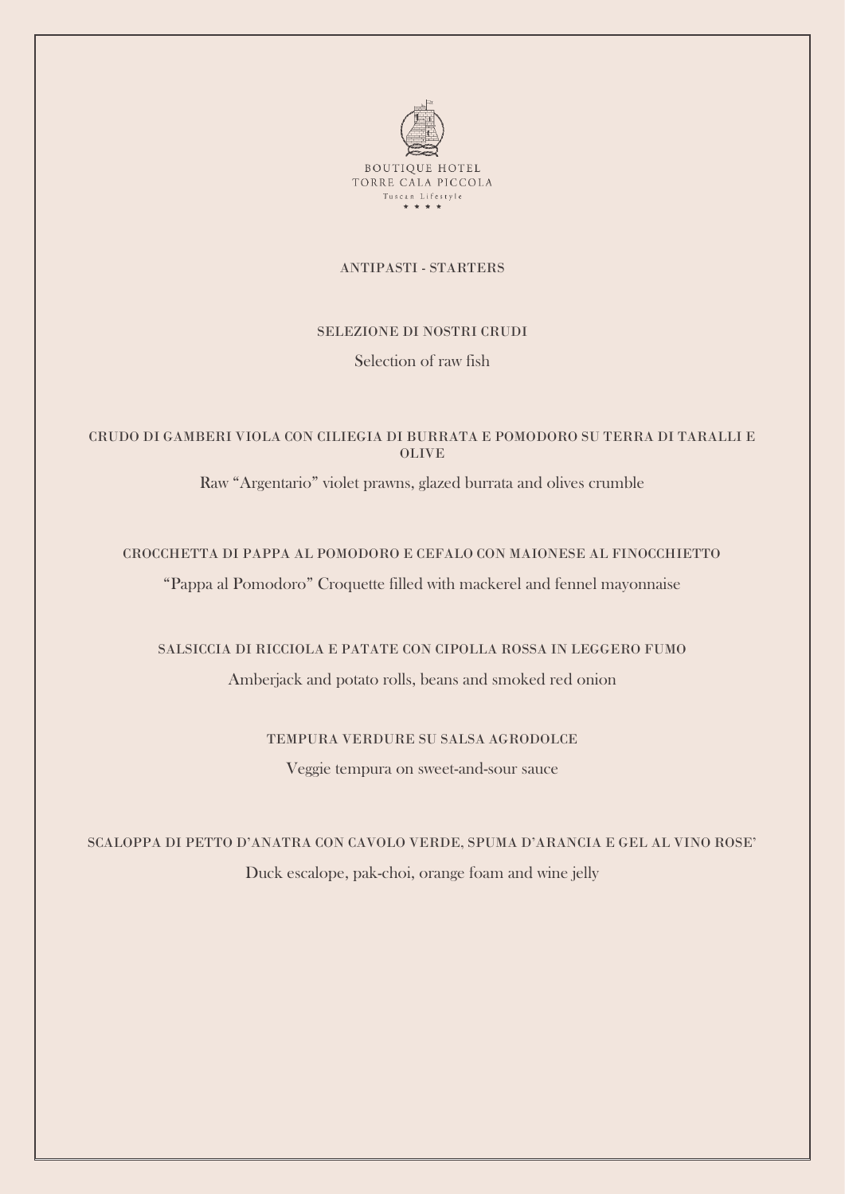

#### ANTIPASTI - STARTERS

#### SELEZIONE DI NOSTRI CRUDI

Selection of raw fish

## CRUDO DI GAMBERI VIOLA CON CILIEGIA DI BURRATA E POMODORO SU TERRA DI TARALLI E OLIVE

Raw "Argentario" violet prawns, glazed burrata and olives crumble

# CROCCHETTA DI PAPPA AL POMODORO E CEFALO CON MAIONESE AL FINOCCHIETTO

"Pappa al Pomodoro" Croquette filled with mackerel and fennel mayonnaise

## SALSICCIA DI RICCIOLA E PATATE CON CIPOLLA ROSSA IN LEGGERO FUMO

Amberjack and potato rolls, beans and smoked red onion

## TEMPURA VERDURE SU SALSA AGRODOLCE

Veggie tempura on sweet-and-sour sauce

SCALOPPA DI PETTO D'ANATRA CON CAVOLO VERDE, SPUMA D'ARANCIA E GEL AL VINO ROSE' Duck escalope, pak-choi, orange foam and wine jelly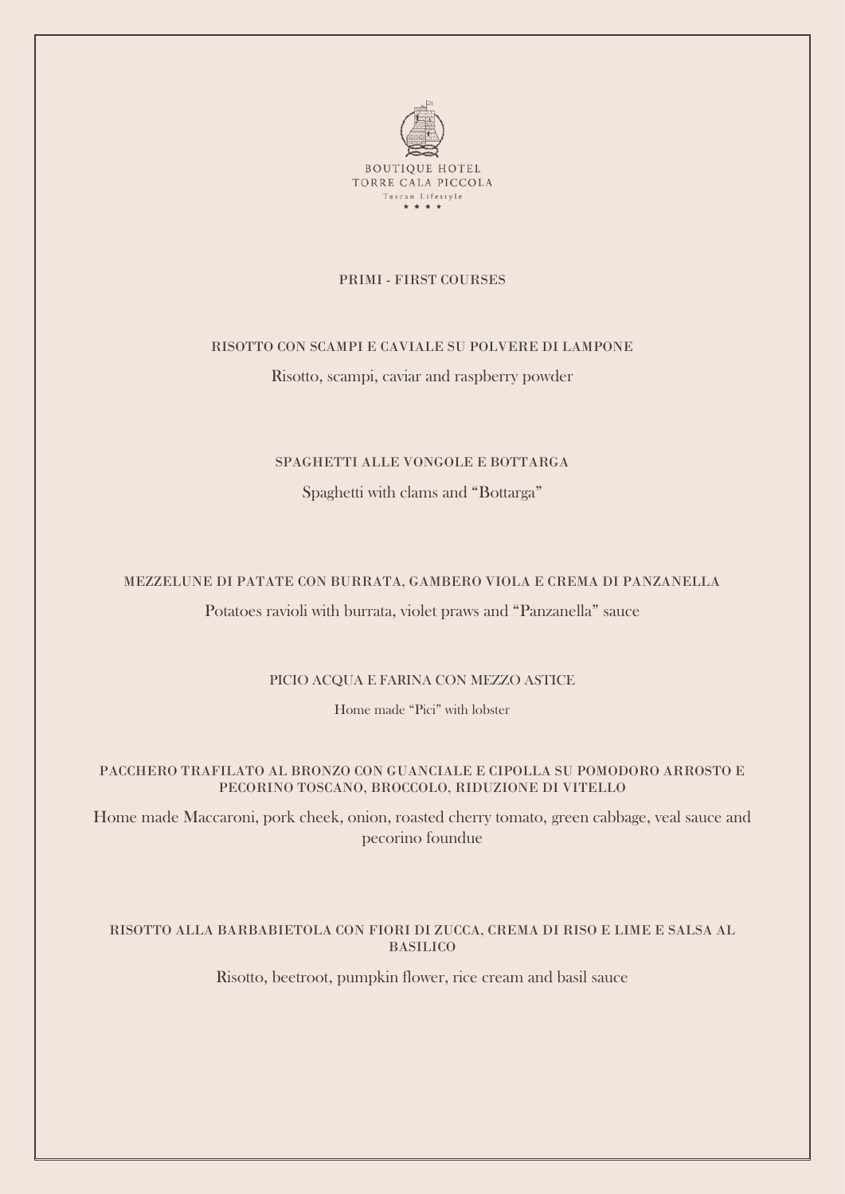

#### PRIMI - FIRST COURSES

#### RISOTTO CON SCAMPI E CAVIALE SU POLVERE DI LAMPONE

Risotto, scampi, caviar and raspberry powder

#### SPAGHETTI ALLE VONGOLE E BOTTARGA

Spaghetti with clams and "Bottarga"

#### MEZZELUNE DI PATATE CON BURRATA, GAMBERO VIOLA E CREMA DI PANZANELLA

Potatoes ravioli with burrata, violet praws and "Panzanella" sauce

#### PICIO ACQUA E FARINA CON MEZZO ASTICE

Home made "Pici" with lobster

### PACCHERO TRAFILATO AL BRONZO CON GUANCIALE E CIPOLLA SU POMODORO ARROSTO E PECORINO TOSCANO, BROCCOLO, RIDUZIONE DI VITELLO

Home made Maccaroni, pork cheek, onion, roasted cherry tomato, green cabbage, veal sauce and pecorino foundue

#### RISOTTO ALLA BARBABIETOLA CON FIORI DI ZUCCA, CREMA DI RISO E LIME E SALSA AL BASILICO

Risotto, beetroot, pumpkin flower, rice cream and basil sauce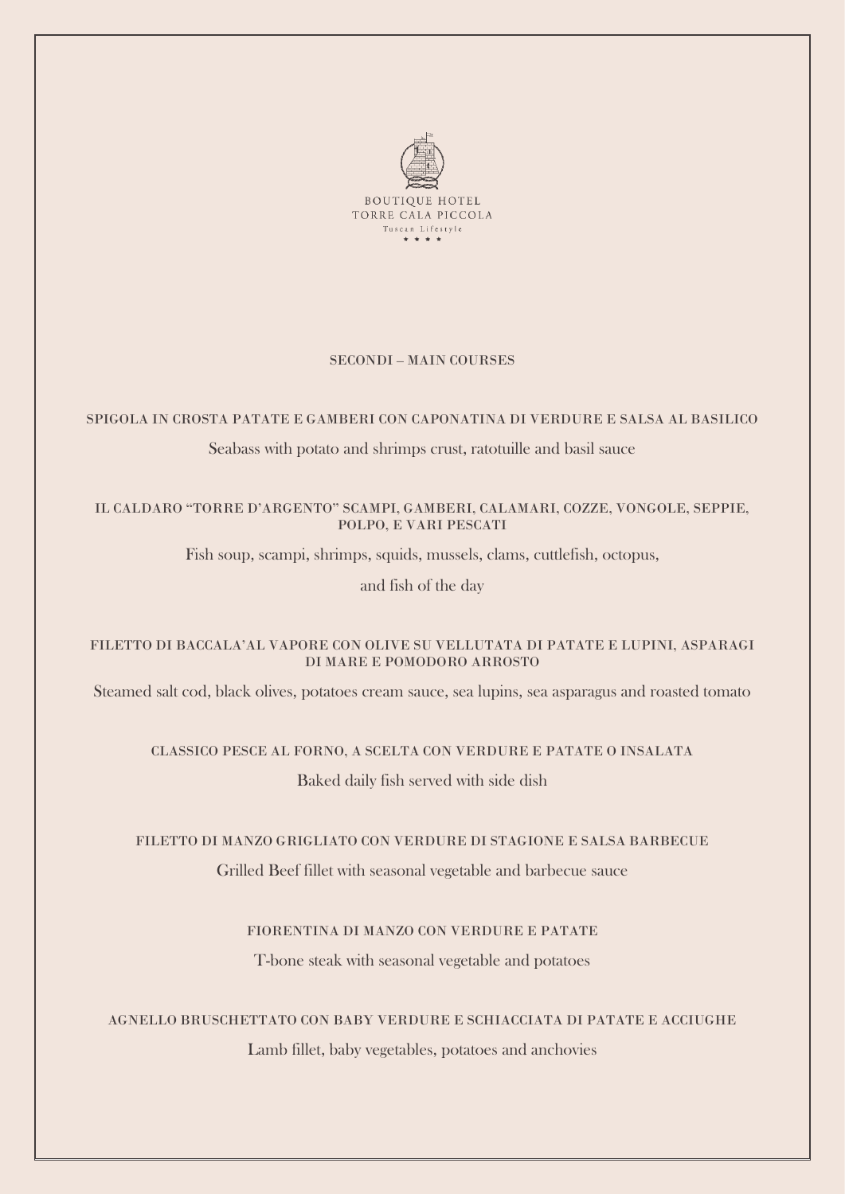

#### SECONDI – MAIN COURSES

## SPIGOLA IN CROSTA PATATE E GAMBERI CON CAPONATINA DI VERDURE E SALSA AL BASILICO

## Seabass with potato and shrimps crust, ratotuille and basil sauce

## IL CALDARO "TORRE D'ARGENTO" SCAMPI, GAMBERI, CALAMARI, COZZE, VONGOLE, SEPPIE, POLPO, E VARI PESCATI

Fish soup, scampi, shrimps, squids, mussels, clams, cuttlefish, octopus,

and fish of the day

## FILETTO DI BACCALA'AL VAPORE CON OLIVE SU VELLUTATA DI PATATE E LUPINI, ASPARAGI DI MARE E POMODORO ARROSTO

Steamed salt cod, black olives, potatoes cream sauce, sea lupins, sea asparagus and roasted tomato

#### CLASSICO PESCE AL FORNO, A SCELTA CON VERDURE E PATATE O INSALATA

Baked daily fish served with side dish

## FILETTO DI MANZO GRIGLIATO CON VERDURE DI STAGIONE E SALSA BARBECUE

Grilled Beef fillet with seasonal vegetable and barbecue sauce

## FIORENTINA DI MANZO CON VERDURE E PATATE

T-bone steak with seasonal vegetable and potatoes

## AGNELLO BRUSCHETTATO CON BABY VERDURE E SCHIACCIATA DI PATATE E ACCIUGHE

Lamb fillet, baby vegetables, potatoes and anchovies